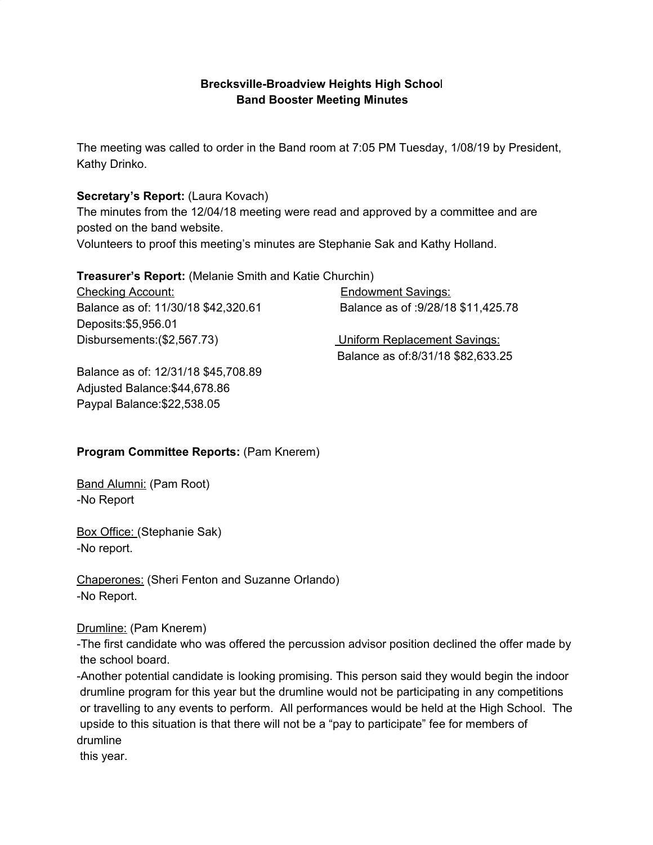## **Brecksville-Broadview Heights High Schoo**l **Band Booster Meeting Minutes**

The meeting was called to order in the Band room at 7:05 PM Tuesday, 1/08/19 by President, Kathy Drinko.

### **Secretary's Report:** (Laura Kovach)

The minutes from the 12/04/18 meeting were read and approved by a committee and are posted on the band website.

Volunteers to proof this meeting's minutes are Stephanie Sak and Kathy Holland.

### **Treasurer's Report:** (Melanie Smith and Katie Churchin)

Checking Account: Endowment Savings: Balance as of: 11/30/18 \$42,320.61 Balance as of :9/28/18 \$11,425.78 Deposits:\$5,956.01 Disbursements:(\$2,567.73) Uniform Replacement Savings:

Balance as of:8/31/18 \$82,633.25

Balance as of: 12/31/18 \$45,708.89 Adjusted Balance:\$44,678.86 Paypal Balance:\$22,538.05

# **Program Committee Reports:** (Pam Knerem)

Band Alumni: (Pam Root) -No Report

Box Office: (Stephanie Sak) -No report.

Chaperones: (Sheri Fenton and Suzanne Orlando) -No Report.

### Drumline: (Pam Knerem)

-The first candidate who was offered the percussion advisor position declined the offer made by the school board.

-Another potential candidate is looking promising. This person said they would begin the indoor drumline program for this year but the drumline would not be participating in any competitions or travelling to any events to perform. All performances would be held at the High School. The upside to this situation is that there will not be a "pay to participate" fee for members of drumline

this year.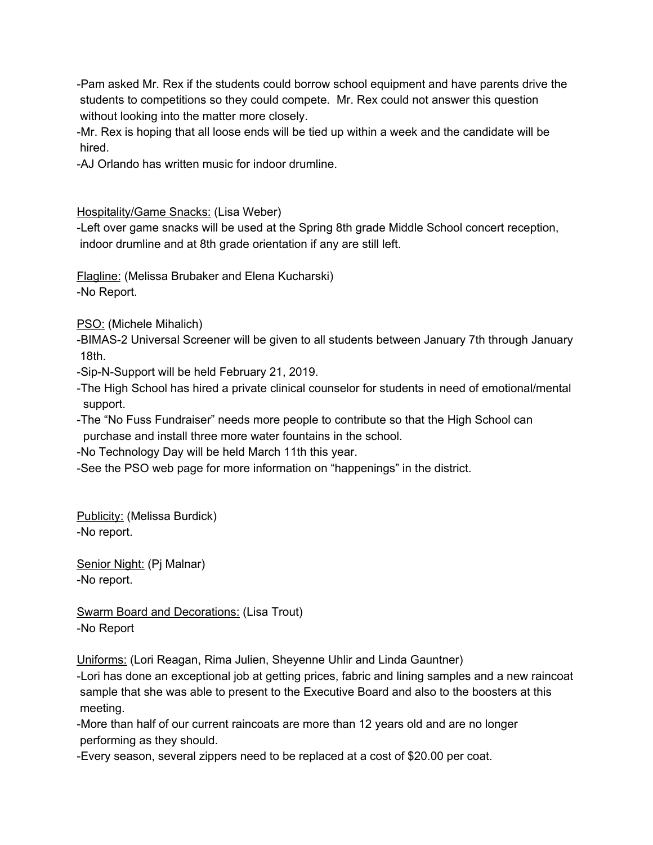-Pam asked Mr. Rex if the students could borrow school equipment and have parents drive the students to competitions so they could compete. Mr. Rex could not answer this question without looking into the matter more closely.

-Mr. Rex is hoping that all loose ends will be tied up within a week and the candidate will be hired.

-AJ Orlando has written music for indoor drumline.

Hospitality/Game Snacks: (Lisa Weber)

-Left over game snacks will be used at the Spring 8th grade Middle School concert reception, indoor drumline and at 8th grade orientation if any are still left.

Flagline: (Melissa Brubaker and Elena Kucharski) -No Report.

PSO: (Michele Mihalich)

-BIMAS-2 Universal Screener will be given to all students between January 7th through January 18th.

-Sip-N-Support will be held February 21, 2019.

-The High School has hired a private clinical counselor for students in need of emotional/mental support.

-The "No Fuss Fundraiser" needs more people to contribute so that the High School can purchase and install three more water fountains in the school.

-No Technology Day will be held March 11th this year.

-See the PSO web page for more information on "happenings" in the district.

Publicity: (Melissa Burdick) -No report.

Senior Night: (Pj Malnar) -No report.

Swarm Board and Decorations: (Lisa Trout) -No Report

Uniforms: (Lori Reagan, Rima Julien, Sheyenne Uhlir and Linda Gauntner)

-Lori has done an exceptional job at getting prices, fabric and lining samples and a new raincoat sample that she was able to present to the Executive Board and also to the boosters at this meeting.

-More than half of our current raincoats are more than 12 years old and are no longer performing as they should.

-Every season, several zippers need to be replaced at a cost of \$20.00 per coat.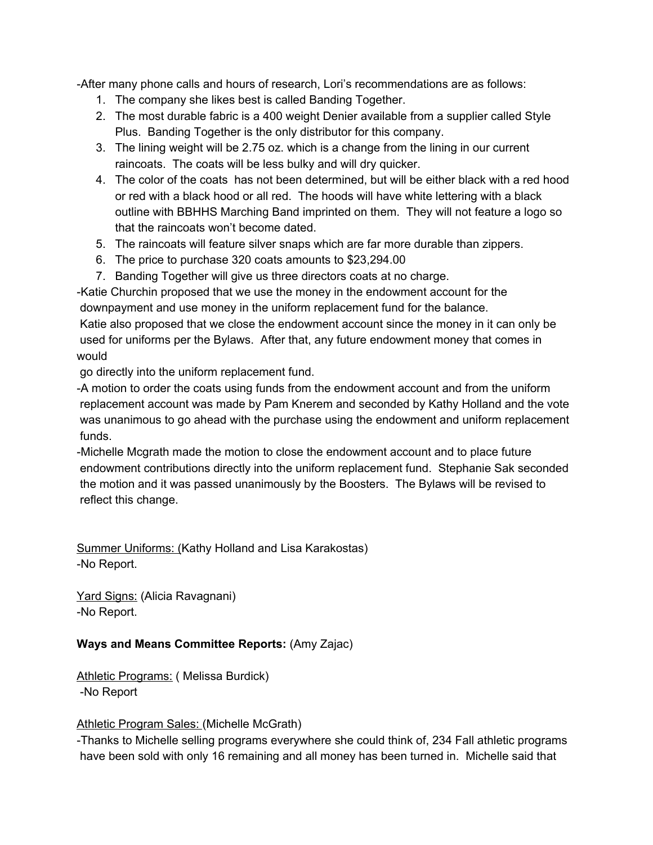-After many phone calls and hours of research, Lori's recommendations are as follows:

- 1. The company she likes best is called Banding Together.
- 2. The most durable fabric is a 400 weight Denier available from a supplier called Style Plus. Banding Together is the only distributor for this company.
- 3. The lining weight will be 2.75 oz. which is a change from the lining in our current raincoats. The coats will be less bulky and will dry quicker.
- 4. The color of the coats has not been determined, but will be either black with a red hood or red with a black hood or all red. The hoods will have white lettering with a black outline with BBHHS Marching Band imprinted on them. They will not feature a logo so that the raincoats won't become dated.
- 5. The raincoats will feature silver snaps which are far more durable than zippers.
- 6. The price to purchase 320 coats amounts to \$23,294.00
- 7. Banding Together will give us three directors coats at no charge.

-Katie Churchin proposed that we use the money in the endowment account for the downpayment and use money in the uniform replacement fund for the balance. Katie also proposed that we close the endowment account since the money in it can only be used for uniforms per the Bylaws. After that, any future endowment money that comes in

would

go directly into the uniform replacement fund.

-A motion to order the coats using funds from the endowment account and from the uniform replacement account was made by Pam Knerem and seconded by Kathy Holland and the vote was unanimous to go ahead with the purchase using the endowment and uniform replacement funds.

-Michelle Mcgrath made the motion to close the endowment account and to place future endowment contributions directly into the uniform replacement fund. Stephanie Sak seconded the motion and it was passed unanimously by the Boosters. The Bylaws will be revised to reflect this change.

Summer Uniforms: (Kathy Holland and Lisa Karakostas) -No Report.

Yard Signs: (Alicia Ravagnani) -No Report.

### **Ways and Means Committee Reports:** (Amy Zajac)

Athletic Programs: (Melissa Burdick) -No Report

### Athletic Program Sales: (Michelle McGrath)

-Thanks to Michelle selling programs everywhere she could think of, 234 Fall athletic programs have been sold with only 16 remaining and all money has been turned in. Michelle said that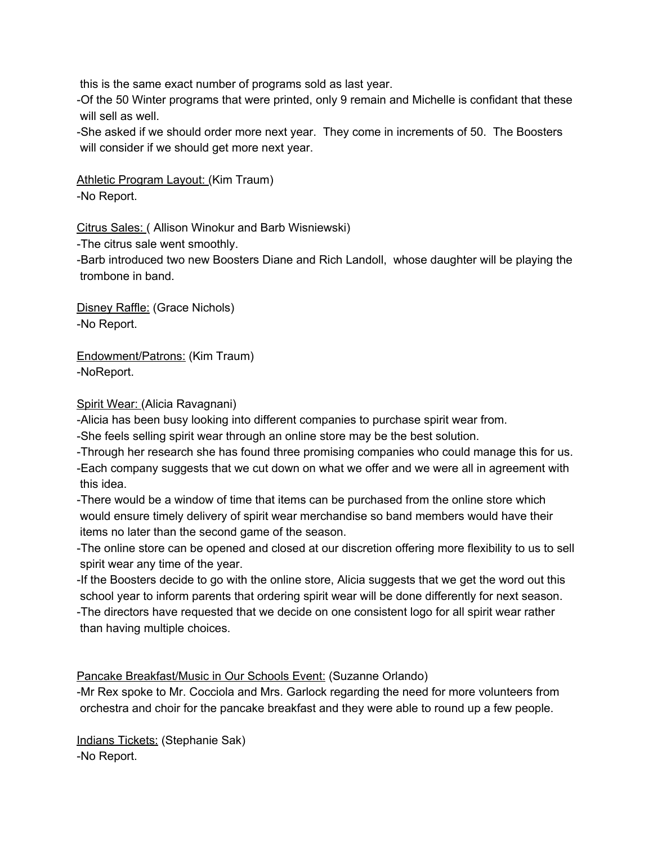this is the same exact number of programs sold as last year.

-Of the 50 Winter programs that were printed, only 9 remain and Michelle is confidant that these will sell as well.

-She asked if we should order more next year. They come in increments of 50. The Boosters will consider if we should get more next year.

Athletic Program Layout: (Kim Traum) -No Report.

Citrus Sales: ( Allison Winokur and Barb Wisniewski)

-The citrus sale went smoothly.

-Barb introduced two new Boosters Diane and Rich Landoll, whose daughter will be playing the trombone in band.

Disney Raffle: (Grace Nichols) -No Report.

Endowment/Patrons: (Kim Traum) -NoReport.

Spirit Wear: (Alicia Ravagnani)

-Alicia has been busy looking into different companies to purchase spirit wear from.

-She feels selling spirit wear through an online store may be the best solution.

-Through her research she has found three promising companies who could manage this for us. -Each company suggests that we cut down on what we offer and we were all in agreement with this idea.

-There would be a window of time that items can be purchased from the online store which would ensure timely delivery of spirit wear merchandise so band members would have their items no later than the second game of the season.

-The online store can be opened and closed at our discretion offering more flexibility to us to sell spirit wear any time of the year.

-If the Boosters decide to go with the online store, Alicia suggests that we get the word out this school year to inform parents that ordering spirit wear will be done differently for next season.

-The directors have requested that we decide on one consistent logo for all spirit wear rather than having multiple choices.

Pancake Breakfast/Music in Our Schools Event: (Suzanne Orlando)

-Mr Rex spoke to Mr. Cocciola and Mrs. Garlock regarding the need for more volunteers from orchestra and choir for the pancake breakfast and they were able to round up a few people.

Indians Tickets: (Stephanie Sak) -No Report.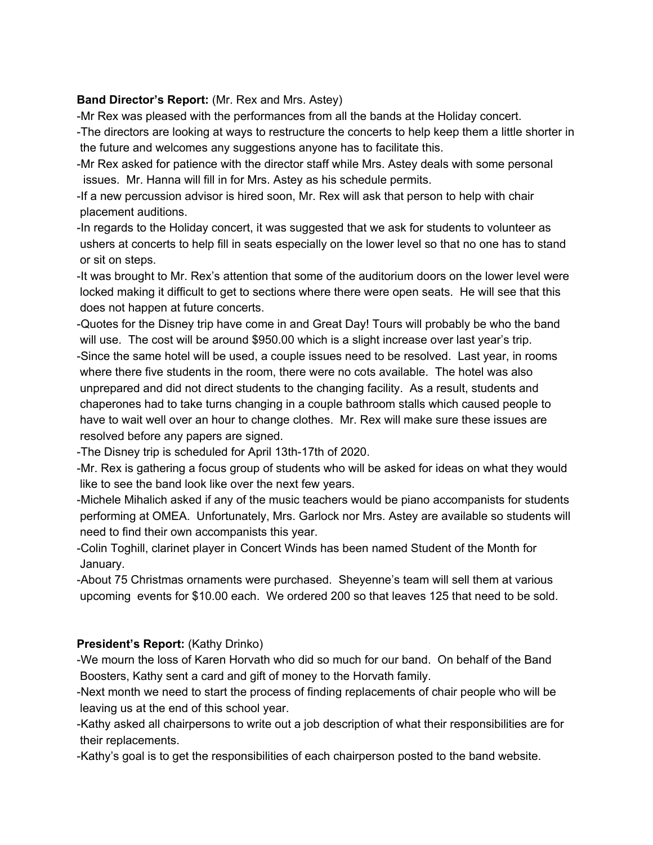#### **Band Director's Report:** (Mr. Rex and Mrs. Astey)

-Mr Rex was pleased with the performances from all the bands at the Holiday concert.

- -The directors are looking at ways to restructure the concerts to help keep them a little shorter in the future and welcomes any suggestions anyone has to facilitate this.
- -Mr Rex asked for patience with the director staff while Mrs. Astey deals with some personal issues. Mr. Hanna will fill in for Mrs. Astey as his schedule permits.
- -If a new percussion advisor is hired soon, Mr. Rex will ask that person to help with chair placement auditions.
- -In regards to the Holiday concert, it was suggested that we ask for students to volunteer as ushers at concerts to help fill in seats especially on the lower level so that no one has to stand or sit on steps.
- -It was brought to Mr. Rex's attention that some of the auditorium doors on the lower level were locked making it difficult to get to sections where there were open seats. He will see that this does not happen at future concerts.
- -Quotes for the Disney trip have come in and Great Day! Tours will probably be who the band will use. The cost will be around \$950.00 which is a slight increase over last year's trip.
- -Since the same hotel will be used, a couple issues need to be resolved. Last year, in rooms where there five students in the room, there were no cots available. The hotel was also unprepared and did not direct students to the changing facility. As a result, students and chaperones had to take turns changing in a couple bathroom stalls which caused people to have to wait well over an hour to change clothes. Mr. Rex will make sure these issues are resolved before any papers are signed.
- -The Disney trip is scheduled for April 13th-17th of 2020.
- -Mr. Rex is gathering a focus group of students who will be asked for ideas on what they would like to see the band look like over the next few years.
- -Michele Mihalich asked if any of the music teachers would be piano accompanists for students performing at OMEA. Unfortunately, Mrs. Garlock nor Mrs. Astey are available so students will need to find their own accompanists this year.
- -Colin Toghill, clarinet player in Concert Winds has been named Student of the Month for January.
- -About 75 Christmas ornaments were purchased. Sheyenne's team will sell them at various upcoming events for \$10.00 each. We ordered 200 so that leaves 125 that need to be sold.

### **President's Report:** (Kathy Drinko)

- -We mourn the loss of Karen Horvath who did so much for our band. On behalf of the Band Boosters, Kathy sent a card and gift of money to the Horvath family.
- -Next month we need to start the process of finding replacements of chair people who will be leaving us at the end of this school year.
- -Kathy asked all chairpersons to write out a job description of what their responsibilities are for their replacements.
- -Kathy's goal is to get the responsibilities of each chairperson posted to the band website.